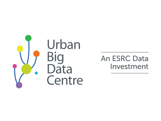

**An ESRC Data** Investment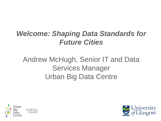### *Welcome: Shaping Data Standards for Future Cities*

### Andrew McHugh, Senior IT and Data Services Manager Urban Big Data Centre



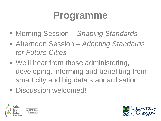### **Programme**

- Morning Session *Shaping Standards*
- Afternoon Session *Adopting Standards for Future Cities*
- We'll hear from those administering, developing, informing and benefiting from smart city and big data standardisation
- **Discussion welcomed!**



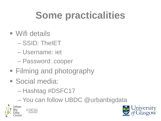## **Some practicalities**

- Wifi details
	- $-$  SSID: The  $ET$
	- Username: jet
	- Password: cooper
- Filming and photography
- Social media:
	- Hashtag #DSFC17
	- You can follow UBDC @urbanbigdata



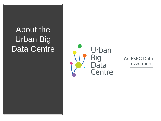### About the Urban Big Data Centre



An ESRC Data Investment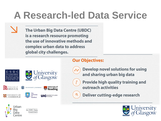### **A Research-led Data Service**

**The Urban Big Data Centre (UBDC)** is a research resource promoting the use of innovative methods and complex urban data to address global city challenges.

#### **Our Objectives:**

ممهر

 $\frac{9}{7}$ 











THE UNIVERSITY of EDINBURGH

An ESRC Data Investment



**ose** University of

**Develop novel solutions for using** and sharing urban big data

**Provide high quality training and** outreach activities

**Deliver cutting-edge research** 



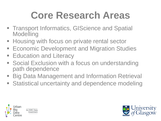## **Core Research Areas**

- **Transport Informatics, GIScience and Spatial Modelling**
- **Housing with focus on private rental sector**
- **Economic Development and Migration Studies**
- **Education and Literacy**
- **Social Exclusion with a focus on understanding** path dependence
- **Big Data Management and Information Retrieval**
- **Statistical uncertainty and dependence modeling**



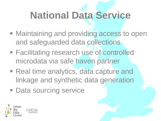## **National Data Service**

- **Maintaining and providing access to open** and safeguarded data collections
- Facilitating research use of controlled microdata via safe haven partner
- **Real time analytics, data capture and** linkage and synthetic data generation
- **Data sourcing service**

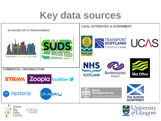### **Key data sources**





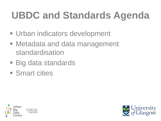# **UBDC and Standards Agenda**

- **Urban indicators development**
- Metadata and data management standardisation
- Big data standards
- **Smart cities**